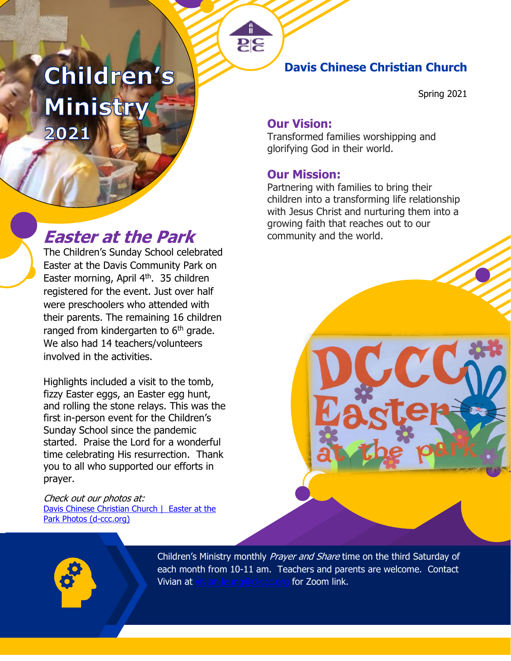# Children's Ministry 2021

# **Easter at the Park** community and the world.

The Children's Sunday School celebrated Easter at the Davis Community Park on Easter morning, April 4<sup>th</sup>. 35 children registered for the event. Just over half were preschoolers who attended with their parents. The remaining 16 children ranged from kindergarten to  $6<sup>th</sup>$  grade. We also had 14 teachers/volunteers involved in the activities.

Highlights included a visit to the tomb, fizzy Easter eggs, an Easter egg hunt, and rolling the stone relays. This was the first in-person event for the Children's Sunday School since the pandemic started. Praise the Lord for a wonderful time celebrating His resurrection. Thank you to all who supported our efforts in prayer.

Check out our photos at: [Davis Chinese Christian Church](https://d-ccc.org/ministries-3/children/easter-at-the-park-photos/) | Easter at the [Park Photos \(d-ccc.org\)](https://d-ccc.org/ministries-3/children/easter-at-the-park-photos/)

# **Davis Chinese Christian Church**

Spring 2021

### **Our Vision:**

Transformed families worshipping and glorifying God in their world.

### **Our Mission:**

Partnering with families to bring their children into a transforming life relationship with Jesus Christ and nurturing them into a growing faith that reaches out to our

Children's Ministry monthly Prayer and Share time on the third Saturday of each month from 10-11 am. Teachers and parents are welcome. Contact Vivian at [vivian.leung@d-ccc.org](mailto:vivian.leung@d-ccc.org) for Zoom link.